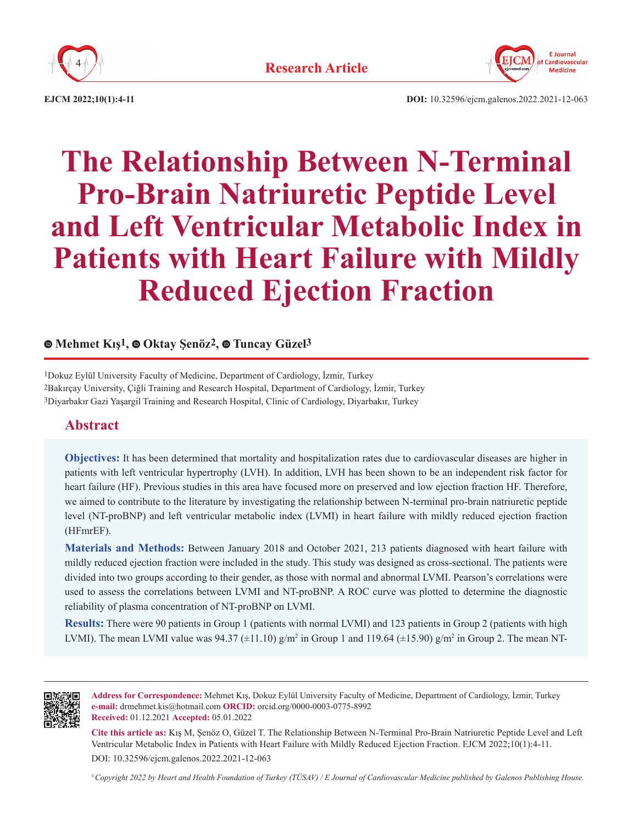



**EJCM 2022;10(1):4-11 DOI:** 10.32596/ejcm.galenos.2022.2021-12-063

# **The Relationship Between N-Terminal Pro-Brain Natriuretic Peptide Level and Left Ventricular Metabolic Index in Patients with Heart Failure with Mildly Reduced Ejection Fraction**

## **Mehmet Kış1,Oktay Şenöz2, Tuncay Güzel3**

1Dokuz Eylül University Faculty of Medicine, Department of Cardiology, İzmir, Turkey 2Bakırçay University, Çiğli Training and Research Hospital, Department of Cardiology, İzmir, Turkey 3Diyarbakır Gazi Yaşargil Training and Research Hospital, Clinic of Cardiology, Diyarbakır, Turkey

## **Abstract**

**Objectives:** It has been determined that mortality and hospitalization rates due to cardiovascular diseases are higher in patients with left ventricular hypertrophy (LVH). In addition, LVH has been shown to be an independent risk factor for heart failure (HF). Previous studies in this area have focused more on preserved and low ejection fraction HF. Therefore, we aimed to contribute to the literature by investigating the relationship between N-terminal pro-brain natriuretic peptide level (NT-proBNP) and left ventricular metabolic index (LVMI) in heart failure with mildly reduced ejection fraction (HFmrEF).

**Materials and Methods:** Between January 2018 and October 2021, 213 patients diagnosed with heart failure with mildly reduced ejection fraction were included in the study. This study was designed as cross-sectional. The patients were divided into two groups according to their gender, as those with normal and abnormal LVMI. Pearson's correlations were used to assess the correlations between LVMI and NT-proBNP. A ROC curve was plotted to determine the diagnostic reliability of plasma concentration of NT-proBNP on LVMI.

**Results:** There were 90 patients in Group 1 (patients with normal LVMI) and 123 patients in Group 2 (patients with high LVMI). The mean LVMI value was  $94.37 \ (\pm 11.10)$  g/m<sup>2</sup> in Group 1 and 119.64  $(\pm 15.90)$  g/m<sup>2</sup> in Group 2. The mean NT-



**Address for Correspondence:** Mehmet Kış, Dokuz Eylül University Faculty of Medicine, Department of Cardiology, İzmir, Turkey **e-mail:** drmehmet.kis@hotmail.com **ORCID:** orcid.org/0000-0003-0775-8992 **Received:** 01.12.2021 **Accepted:** 05.01.2022

**Cite this article as:** Kış M, Şenöz O, Güzel T. The Relationship Between N-Terminal Pro-Brain Natriuretic Peptide Level and Left Ventricular Metabolic Index in Patients with Heart Failure with Mildly Reduced Ejection Fraction. EJCM 2022;10(1):4-11. DOI: 10.32596/ejcm.galenos.2022.2021-12-063

*©Copyright 2022 by Heart and Health Foundation of Turkey (TÜSAV) / E Journal of Cardiovascular Medicine published by Galenos Publishing House.*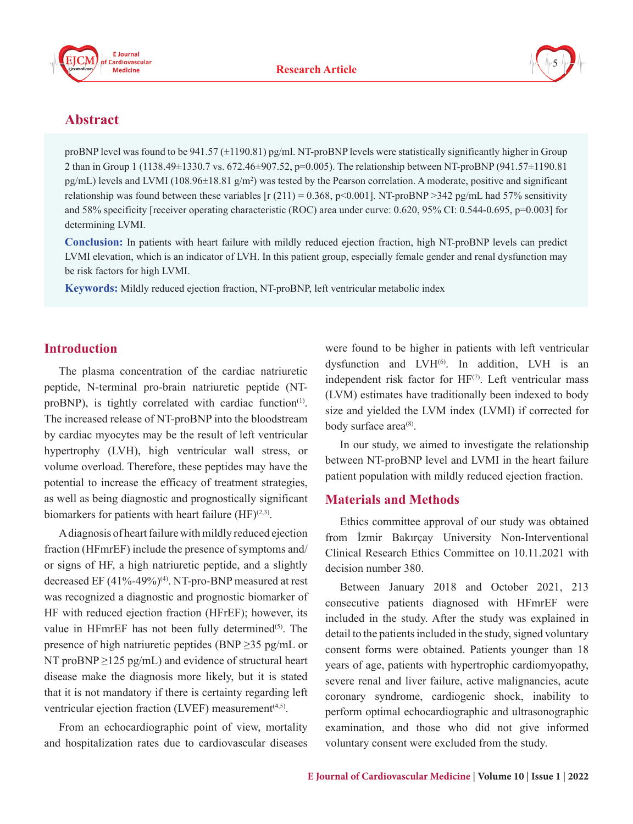





## **Abstract**

proBNP level was found to be 941.57 (±1190.81) pg/ml. NT-proBNP levels were statistically significantly higher in Group 2 than in Group 1 (1138.49±1330.7 vs. 672.46±907.52, p=0.005). The relationship between NT-proBNP (941.57±1190.81 pg/mL) levels and LVMI (108.96±18.81 g/m<sup>2</sup>) was tested by the Pearson correlation. A moderate, positive and significant relationship was found between these variables  $[r (211) = 0.368, p<0.001]$ . NT-proBNP >342 pg/mL had 57% sensitivity and 58% specificity [receiver operating characteristic (ROC) area under curve: 0.620, 95% CI: 0.544-0.695, p=0.003] for determining LVMI.

**Conclusion:** In patients with heart failure with mildly reduced ejection fraction, high NT-proBNP levels can predict LVMI elevation, which is an indicator of LVH. In this patient group, especially female gender and renal dysfunction may be risk factors for high LVMI.

**Keywords:** Mildly reduced ejection fraction, NT-proBNP, left ventricular metabolic index

## **Introduction**

The plasma concentration of the cardiac natriuretic peptide, N-terminal pro-brain natriuretic peptide (NTproBNP), is tightly correlated with cardiac function<sup>(1)</sup>. The increased release of NT-proBNP into the bloodstream by cardiac myocytes may be the result of left ventricular hypertrophy (LVH), high ventricular wall stress, or volume overload. Therefore, these peptides may have the potential to increase the efficacy of treatment strategies, as well as being diagnostic and prognostically significant biomarkers for patients with heart failure  $(HF)^{(2,3)}$ .

A diagnosis of heart failure with mildly reduced ejection fraction (HFmrEF) include the presence of symptoms and/ or signs of HF, a high natriuretic peptide, and a slightly decreased EF  $(41\% - 49\%)$ <sup>(4)</sup>. NT-pro-BNP measured at rest was recognized a diagnostic and prognostic biomarker of HF with reduced ejection fraction (HFrEF); however, its value in HFmrEF has not been fully determined $(5)$ . The presence of high natriuretic peptides (BNP ≥35 pg/mL or NT proBNP  $\geq$ 125 pg/mL) and evidence of structural heart disease make the diagnosis more likely, but it is stated that it is not mandatory if there is certainty regarding left ventricular ejection fraction (LVEF) measurement $(4,5)$ .

From an echocardiographic point of view, mortality and hospitalization rates due to cardiovascular diseases were found to be higher in patients with left ventricular dysfunction and  $LVH^{(6)}$ . In addition,  $LVH$  is an independent risk factor for HF<sup>(7)</sup>. Left ventricular mass (LVM) estimates have traditionally been indexed to body size and yielded the LVM index (LVMI) if corrected for body surface area<sup>(8)</sup>.

In our study, we aimed to investigate the relationship between NT-proBNP level and LVMI in the heart failure patient population with mildly reduced ejection fraction.

## **Materials and Methods**

Ethics committee approval of our study was obtained from İzmir Bakırçay University Non-Interventional Clinical Research Ethics Committee on 10.11.2021 with decision number 380.

Between January 2018 and October 2021, 213 consecutive patients diagnosed with HFmrEF were included in the study. After the study was explained in detail to the patients included in the study, signed voluntary consent forms were obtained. Patients younger than 18 years of age, patients with hypertrophic cardiomyopathy, severe renal and liver failure, active malignancies, acute coronary syndrome, cardiogenic shock, inability to perform optimal echocardiographic and ultrasonographic examination, and those who did not give informed voluntary consent were excluded from the study.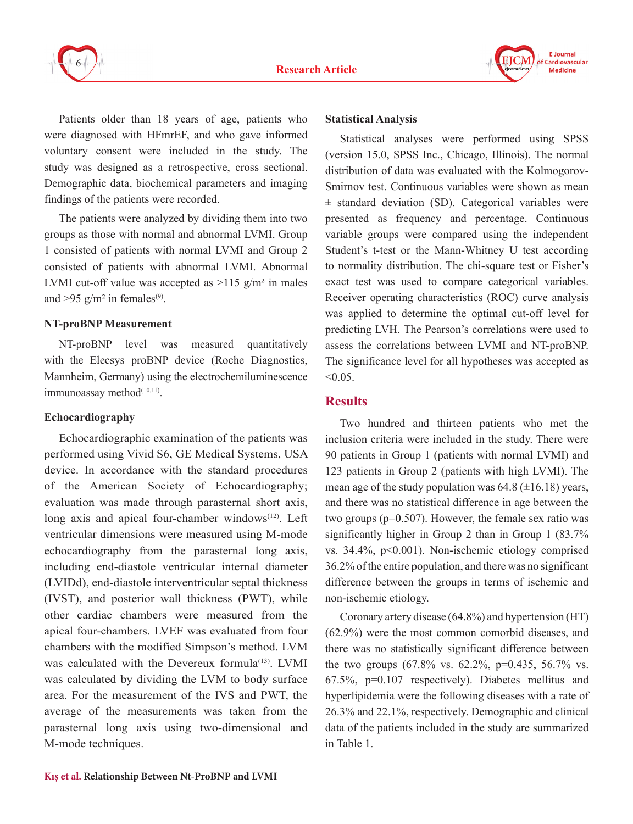



Patients older than 18 years of age, patients who were diagnosed with HFmrEF, and who gave informed voluntary consent were included in the study. The study was designed as a retrospective, cross sectional. Demographic data, biochemical parameters and imaging findings of the patients were recorded.

The patients were analyzed by dividing them into two groups as those with normal and abnormal LVMI. Group 1 consisted of patients with normal LVMI and Group 2 consisted of patients with abnormal LVMI. Abnormal LVMI cut-off value was accepted as  $>115$  g/m<sup>2</sup> in males and >95 g/m<sup>2</sup> in females<sup>(9)</sup>.

#### **NT-proBNP Measurement**

NT-proBNP level was measured quantitatively with the Elecsys proBNP device (Roche Diagnostics, Mannheim, Germany) using the electrochemiluminescence immunoassay method $(10,11)$ .

#### **Echocardiography**

Echocardiographic examination of the patients was performed using Vivid S6, GE Medical Systems, USA device. In accordance with the standard procedures of the American Society of Echocardiography; evaluation was made through parasternal short axis, long axis and apical four-chamber windows $(12)$ . Left ventricular dimensions were measured using M-mode echocardiography from the parasternal long axis, including end-diastole ventricular internal diameter (LVIDd), end-diastole interventricular septal thickness (IVST), and posterior wall thickness (PWT), while other cardiac chambers were measured from the apical four-chambers. LVEF was evaluated from four chambers with the modified Simpson's method. LVM was calculated with the Devereux formula<sup>(13)</sup>. LVMI was calculated by dividing the LVM to body surface area. For the measurement of the IVS and PWT, the average of the measurements was taken from the parasternal long axis using two-dimensional and M-mode techniques.

#### **Statistical Analysis**

Statistical analyses were performed using SPSS (version 15.0, SPSS Inc., Chicago, Illinois). The normal distribution of data was evaluated with the Kolmogorov-Smirnov test. Continuous variables were shown as mean  $\pm$  standard deviation (SD). Categorical variables were presented as frequency and percentage. Continuous variable groups were compared using the independent Student's t-test or the Mann-Whitney U test according to normality distribution. The chi-square test or Fisher's exact test was used to compare categorical variables. Receiver operating characteristics (ROC) curve analysis was applied to determine the optimal cut-off level for predicting LVH. The Pearson's correlations were used to assess the correlations between LVMI and NT-proBNP. The significance level for all hypotheses was accepted as  $< 0.05$ .

## **Results**

Two hundred and thirteen patients who met the inclusion criteria were included in the study. There were 90 patients in Group 1 (patients with normal LVMI) and 123 patients in Group 2 (patients with high LVMI). The mean age of the study population was  $64.8 \ (\pm 16.18)$  years, and there was no statistical difference in age between the two groups (p=0.507). However, the female sex ratio was significantly higher in Group 2 than in Group 1 (83.7% vs. 34.4%, p<0.001). Non-ischemic etiology comprised 36.2% of the entire population, and there was no significant difference between the groups in terms of ischemic and non-ischemic etiology.

Coronary artery disease (64.8%) and hypertension (HT) (62.9%) were the most common comorbid diseases, and there was no statistically significant difference between the two groups (67.8% vs. 62.2%, p=0.435, 56.7% vs. 67.5%, p=0.107 respectively). Diabetes mellitus and hyperlipidemia were the following diseases with a rate of 26.3% and 22.1%, respectively. Demographic and clinical data of the patients included in the study are summarized in Table 1.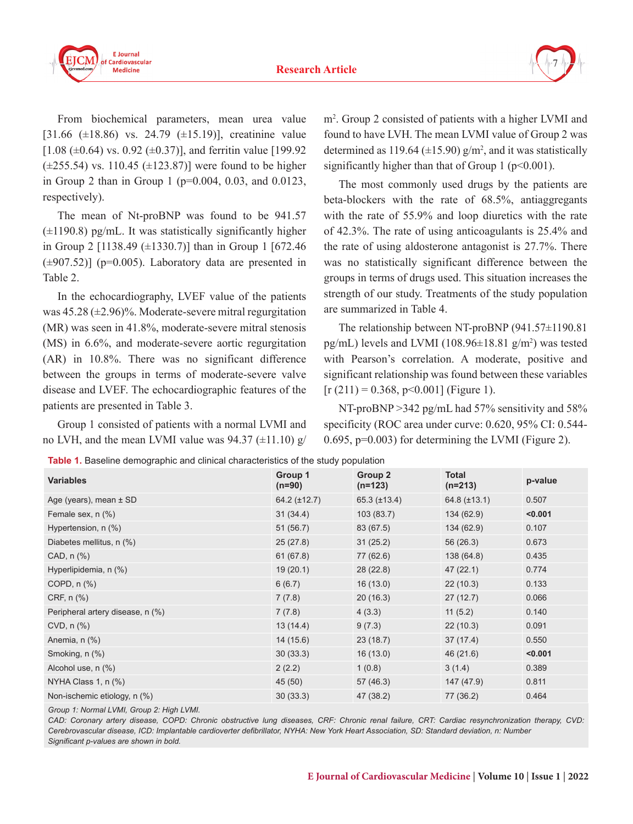



From biochemical parameters, mean urea value [31.66  $(\pm 18.86)$  vs. 24.79  $(\pm 15.19)$ ], creatinine value  $[1.08 (\pm 0.64) \text{ vs. } 0.92 (\pm 0.37)]$ , and ferritin value [199.92]  $(\pm 255.54)$  vs. 110.45 ( $\pm$ 123.87)] were found to be higher in Group 2 than in Group 1 (p=0.004, 0.03, and 0.0123, respectively).

The mean of Nt-proBNP was found to be 941.57  $(\pm 1190.8)$  pg/mL. It was statistically significantly higher in Group 2 [1138.49 (±1330.7)] than in Group 1 [672.46  $(\pm 907.52)$ ] (p=0.005). Laboratory data are presented in Table 2.

In the echocardiography, LVEF value of the patients was  $45.28 \ (\pm 2.96)\%$ . Moderate-severe mitral regurgitation (MR) was seen in 41.8%, moderate-severe mitral stenosis (MS) in 6.6%, and moderate-severe aortic regurgitation (AR) in 10.8%. There was no significant difference between the groups in terms of moderate-severe valve disease and LVEF. The echocardiographic features of the patients are presented in Table 3.

Group 1 consisted of patients with a normal LVMI and no LVH, and the mean LVMI value was  $94.37 \ (\pm 11.10)$  g/ m2 . Group 2 consisted of patients with a higher LVMI and found to have LVH. The mean LVMI value of Group 2 was determined as 119.64 ( $\pm$ 15.90) g/m<sup>2</sup>, and it was statistically significantly higher than that of Group 1 ( $p<0.001$ ).

The most commonly used drugs by the patients are beta-blockers with the rate of 68.5%, antiaggregants with the rate of 55.9% and loop diuretics with the rate of 42.3%. The rate of using anticoagulants is 25.4% and the rate of using aldosterone antagonist is 27.7%. There was no statistically significant difference between the groups in terms of drugs used. This situation increases the strength of our study. Treatments of the study population are summarized in Table 4.

The relationship between NT-proBNP (941.57±1190.81 pg/mL) levels and LVMI ( $108.96 \pm 18.81$  g/m<sup>2</sup>) was tested with Pearson's correlation. A moderate, positive and significant relationship was found between these variables  $[r (211) = 0.368, p < 0.001]$  (Figure 1).

NT-proBNP >342 pg/mL had 57% sensitivity and 58% specificity (ROC area under curve: 0.620, 95% CI: 0.544-0.695, p=0.003) for determining the LVMI (Figure 2).

**Table 1.** Baseline demographic and clinical characteristics of the study population

| <b>Variables</b>                 | Group 1<br>$(n=90)$ | Group 2<br>$(n=123)$ | <b>Total</b><br>$(n=213)$ | p-value |
|----------------------------------|---------------------|----------------------|---------------------------|---------|
| Age (years), mean $\pm$ SD       | 64.2 $(\pm 12.7)$   | 65.3 $(\pm 13.4)$    | $64.8 (\pm 13.1)$         | 0.507   |
| Female sex, n (%)                | 31(34.4)            | 103 (83.7)           | 134 (62.9)                | < 0.001 |
| Hypertension, n (%)              | 51(56.7)            | 83 (67.5)            | 134 (62.9)                | 0.107   |
| Diabetes mellitus, n (%)         | 25(27.8)            | 31(25.2)             | 56 (26.3)                 | 0.673   |
| CAD, n (%)                       | 61(67.8)            | 77 (62.6)            | 138 (64.8)                | 0.435   |
| Hyperlipidemia, n (%)            | 19(20.1)            | 28(22.8)             | 47(22.1)                  | 0.774   |
| COPD, $n$ $%$                    | 6(6.7)              | 16(13.0)             | 22(10.3)                  | 0.133   |
| CRF, n (%)                       | 7(7.8)              | 20(16.3)             | 27(12.7)                  | 0.066   |
| Peripheral artery disease, n (%) | 7(7.8)              | 4(3.3)               | 11(5.2)                   | 0.140   |
| CVD, n (%)                       | 13(14.4)            | 9(7.3)               | 22(10.3)                  | 0.091   |
| Anemia, n (%)                    | 14 (15.6)           | 23(18.7)             | 37(17.4)                  | 0.550   |
| Smoking, n (%)                   | 30(33.3)            | 16(13.0)             | 46 (21.6)                 | < 0.001 |
| Alcohol use, n (%)               | 2(2.2)              | 1(0.8)               | 3(1.4)                    | 0.389   |
| NYHA Class 1, n (%)              | 45 (50)             | 57 (46.3)            | 147 (47.9)                | 0.811   |
| Non-ischemic etiology, n (%)     | 30(33.3)            | 47 (38.2)            | 77 (36.2)                 | 0.464   |

*Group 1: Normal LVMI, Group 2: High LVMI.*

*CAD: Coronary artery disease, COPD: Chronic obstructive lung diseases, CRF: Chronic renal failure, CRT: Cardiac resynchronization therapy, CVD: Cerebrovascular disease, ICD: Implantable cardioverter defibrillator, NYHA: New York Heart Association, SD: Standard deviation, n: Number Significant p-values are shown in bold.*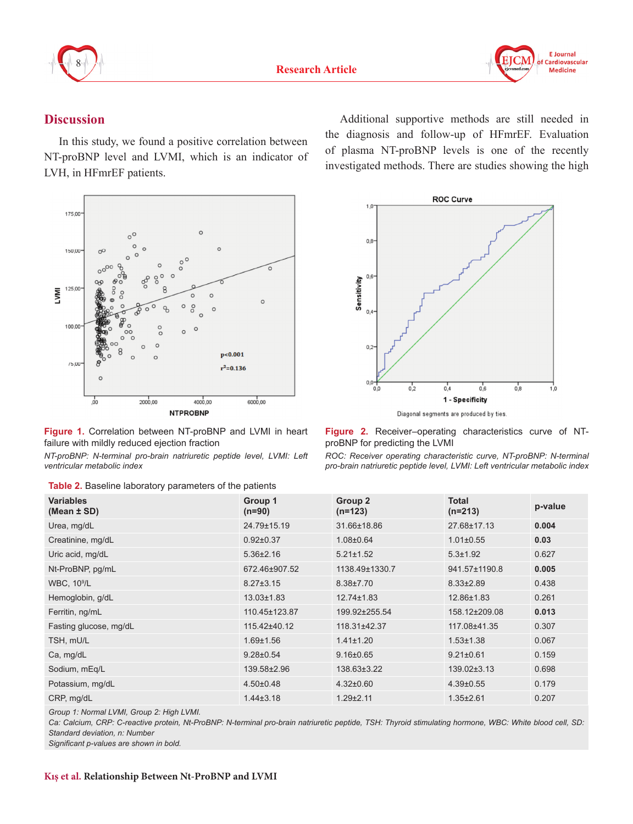



## **Discussion**

In this study, we found a positive correlation between NT-proBNP level and LVMI, which is an indicator of LVH, in HFmrEF patients.



**Figure 1.** Correlation between NT-proBNP and LVMI in heart failure with mildly reduced ejection fraction

*NT-proBNP: N-terminal pro-brain natriuretic peptide level, LVMI: Left ventricular metabolic index*

| Table 2. Baseline laboratory parameters of the patients |  |  |  |  |
|---------------------------------------------------------|--|--|--|--|
|---------------------------------------------------------|--|--|--|--|

Additional supportive methods are still needed in the diagnosis and follow-up of HFmrEF. Evaluation of plasma NT-proBNP levels is one of the recently investigated methods. There are studies showing the high



**Figure 2.** Receiver–operating characteristics curve of NTproBNP for predicting the LVMI

*ROC: Receiver operating characteristic curve, NT-proBNP: N-terminal pro-brain natriuretic peptide level, LVMI: Left ventricular metabolic index*

| <b>Variables</b><br>(Mean $\pm$ SD) | Group 1<br>$(n=90)$ | Group 2<br>$(n=123)$ | <b>Total</b><br>$(n=213)$ | p-value |  |
|-------------------------------------|---------------------|----------------------|---------------------------|---------|--|
| Urea, mg/dL                         | 24.79±15.19         | 31.66±18.86          | 27.68±17.13               | 0.004   |  |
| Creatinine, mg/dL                   | $0.92 \pm 0.37$     | $1.08 \pm 0.64$      | $1.01 \pm 0.55$           | 0.03    |  |
| Uric acid, mg/dL                    | $5.36 \pm 2.16$     | $5.21 \pm 1.52$      | $5.3 \pm 1.92$            | 0.627   |  |
| Nt-ProBNP, pg/mL                    | 672.46±907.52       | 1138.49±1330.7       | 941.57±1190.8             | 0.005   |  |
| <b>WBC, 10<sup>9</sup>/L</b>        | $8.27 \pm 3.15$     | $8.38 \pm 7.70$      | $8.33 \pm 2.89$           | 0.438   |  |
| Hemoglobin, g/dL                    | $13.03 \pm 1.83$    | $12.74 \pm 1.83$     | 12.86±1.83                | 0.261   |  |
| Ferritin, ng/mL                     | 110.45±123.87       | 199.92±255.54        | 158.12±209.08             | 0.013   |  |
| Fasting glucose, mg/dL              | 115.42±40.12        | 118.31±42.37         | 117.08±41.35              | 0.307   |  |
| TSH, mU/L                           | $1.69 + 1.56$       | $1.41 \pm 1.20$      | $1.53 \pm 1.38$           | 0.067   |  |
| Ca, mg/dL                           | $9.28 \pm 0.54$     | $9.16 \pm 0.65$      | $9.21 \pm 0.61$           | 0.159   |  |
| Sodium, mEq/L                       | 139.58±2.96         | 138.63±3.22          | 139.02±3.13               | 0.698   |  |
| Potassium, mg/dL                    | $4.50 \pm 0.48$     | $4.32 \pm 0.60$      | $4.39 \pm 0.55$           | 0.179   |  |
| CRP, mg/dL                          | $1.44 \pm 3.18$     | $1.29 \pm 2.11$      | $1.35 \pm 2.61$           | 0.207   |  |
|                                     |                     |                      |                           |         |  |

*Group 1: Normal LVMI, Group 2: High LVMI.*

*Ca: Calcium, CRP: C-reactive protein, Nt-ProBNP: N-terminal pro-brain natriuretic peptide, TSH: Thyroid stimulating hormone, WBC: White blood cell, SD: Standard deviation, n: Number*

*Significant p-values are shown in bold.*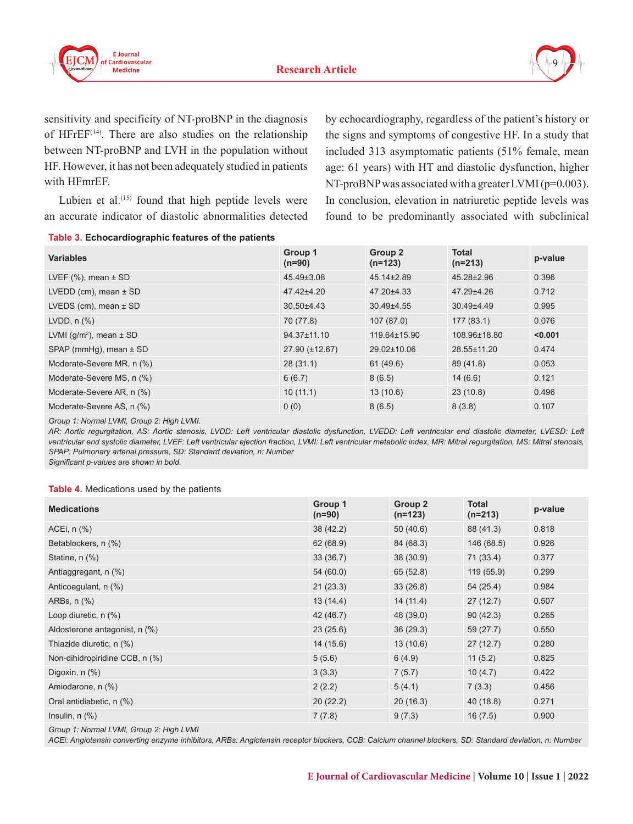

sensitivity and specificity of NT-proBNP in the diagnosis of HFrEF<sup>(14)</sup>. There are also studies on the relationship between NT-proBNP and LVH in the population without HF. However, it has not been adequately studied in patients with **HFmrEF** 

Lubien et al.<sup> $(15)$ </sup> found that high peptide levels were an accurate indicator of diastolic abnormalities detected by echocardiography, regardless of the patient's history or the signs and symptoms of congestive HF. In a study that included 313 asymptomatic patients (51% female, mean age: 61 years) with HT and diastolic dysfunction, higher NT-proBNP was associated with a greater LVMI (p=0.003). In conclusion, elevation in natriuretic peptide levels was found to be predominantly associated with subclinical

#### **Table 3. Echocardiographic features of the patients**

| <b>Variables</b>                | Group 1<br>$(n=90)$ | Group <sub>2</sub><br>$(n=123)$ | <b>Total</b><br>$(n=213)$ | p-value |
|---------------------------------|---------------------|---------------------------------|---------------------------|---------|
| LVEF $(\%)$ , mean $\pm$ SD     | 45.49±3.08          | 45.14±2.89                      | 45.28±2.96                | 0.396   |
| LVEDD (cm), mean $\pm$ SD       | 47.42±4.20          | 47.20±4.33                      | 47.29±4.26                | 0.712   |
| LVEDS (cm), mean $\pm$ SD       | 30.50±4.43          | 30.49±4.55                      | 30.49±4.49                | 0.995   |
| LVDD, $n$ $%$                   | 70 (77.8)           | 107(87.0)                       | 177(83.1)                 | 0.076   |
| LVMI ( $g/m^2$ ), mean $\pm$ SD | 94.37±11.10         | 119.64±15.90                    | 108.96±18.80              | < 0.001 |
| SPAP (mmHg), mean ± SD          | 27.90 (±12.67)      | 29.02±10.06                     | 28.55±11.20               | 0.474   |
| Moderate-Severe MR, n (%)       | 28(31.1)            | 61 (49.6)                       | 89 (41.8)                 | 0.053   |
| Moderate-Severe MS, n (%)       | 6(6.7)              | 8(6.5)                          | 14(6.6)                   | 0.121   |
| Moderate-Severe AR, n (%)       | 10(11.1)            | 13(10.6)                        | 23(10.8)                  | 0.496   |
| Moderate-Severe AS, n (%)       | 0(0)                | 8(6.5)                          | 8(3.8)                    | 0.107   |

*Group 1: Normal LVMI, Group 2: High LVMI.*

AR: Aortic regurgitation, AS: Aortic stenosis, LVDD: Left ventricular diastolic dysfunction, LVEDD: Left ventricular end diastolic diameter, LVESD: Left *ventricular end systolic diameter, LVEF: Left ventricular ejection fraction, LVMI: Left ventricular metabolic index, MR: Mitral regurgitation, MS: Mitral stenosis, SPAP: Pulmonary arterial pressure, SD: Standard deviation, n: Number*

*Significant p-values are shown in bold.*

#### **Table 4.** Medications used by the patients

| <b>Medications</b>             | Group 1<br>$(n=90)$ | Group 2<br>$(n=123)$ | <b>Total</b><br>$(n=213)$ | p-value |
|--------------------------------|---------------------|----------------------|---------------------------|---------|
| ACEi, $n$ $%$                  | 38(42.2)            | 50(40.6)             | 88 (41.3)                 | 0.818   |
| Betablockers, n (%)            | 62(68.9)            | 84 (68.3)            | 146 (68.5)                | 0.926   |
| Statine, $n$ $(\%)$            | 33(36.7)            | 38(30.9)             | 71 (33.4)                 | 0.377   |
| Antiaggregant, n (%)           | 54 (60.0)           | 65(52.8)             | 119 (55.9)                | 0.299   |
| Anticoagulant, n (%)           | 21(23.3)            | 33(26.8)             | 54(25.4)                  | 0.984   |
| ARBs, $n$ $%$                  | 13(14.4)            | 14(11.4)             | 27(12.7)                  | 0.507   |
| Loop diuretic, n (%)           | 42 (46.7)           | 48 (39.0)            | 90(42.3)                  | 0.265   |
| Aldosterone antagonist, n (%)  | 23(25.6)            | 36(29.3)             | 59(27.7)                  | 0.550   |
| Thiazide diuretic, n (%)       | 14(15.6)            | 13(10.6)             | 27(12.7)                  | 0.280   |
| Non-dihidropiridine CCB, n (%) | 5(5.6)              | 6(4.9)               | 11(5.2)                   | 0.825   |
| Digoxin, $n$ $(\%)$            | 3(3.3)              | 7(5.7)               | 10(4.7)                   | 0.422   |
| Amiodarone, n (%)              | 2(2.2)              | 5(4.1)               | 7(3.3)                    | 0.456   |
| Oral antidiabetic, n (%)       | 20(22.2)            | 20(16.3)             | 40 (18.8)                 | 0.271   |
| Insulin, $n$ $(\%)$            | 7(7.8)              | 9(7.3)               | 16(7.5)                   | 0.900   |

*Group 1: Normal LVMI, Group 2: High LVMI*

*ACEi: Angiotensin converting enzyme inhibitors, ARBs: Angiotensin receptor blockers, CCB: Calcium channel blockers, SD: Standard deviation, n: Number*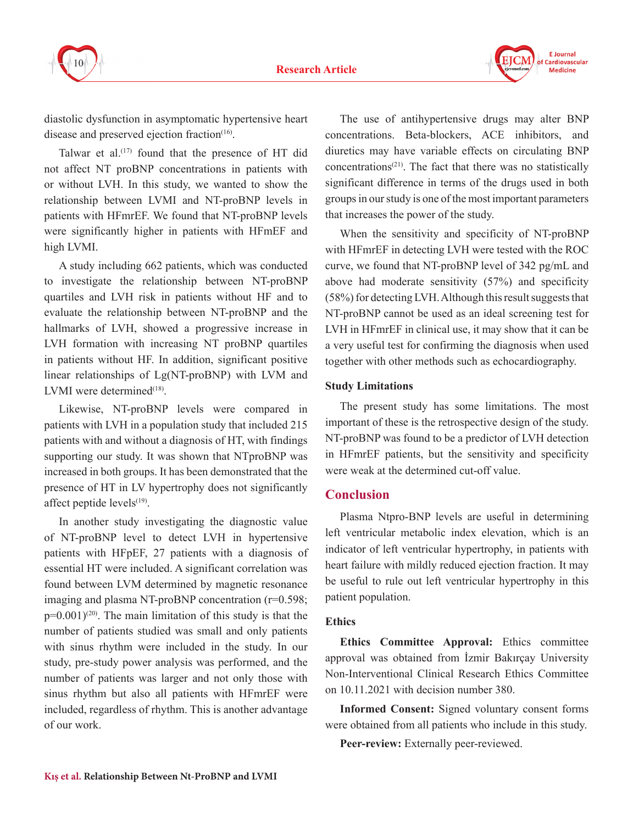



diastolic dysfunction in asymptomatic hypertensive heart disease and preserved ejection fraction<sup>(16)</sup>.

Talwar et al.<sup> $(17)$ </sup> found that the presence of HT did not affect NT proBNP concentrations in patients with or without LVH. In this study, we wanted to show the relationship between LVMI and NT-proBNP levels in patients with HFmrEF. We found that NT-proBNP levels were significantly higher in patients with HFmEF and high LVMI.

A study including 662 patients, which was conducted to investigate the relationship between NT-proBNP quartiles and LVH risk in patients without HF and to evaluate the relationship between NT-proBNP and the hallmarks of LVH, showed a progressive increase in LVH formation with increasing NT proBNP quartiles in patients without HF. In addition, significant positive linear relationships of Lg(NT-proBNP) with LVM and LVMI were determined $(18)$ .

Likewise, NT-proBNP levels were compared in patients with LVH in a population study that included 215 patients with and without a diagnosis of HT, with findings supporting our study. It was shown that NTproBNP was increased in both groups. It has been demonstrated that the presence of HT in LV hypertrophy does not significantly affect peptide levels $(19)$ .

In another study investigating the diagnostic value of NT-proBNP level to detect LVH in hypertensive patients with HFpEF, 27 patients with a diagnosis of essential HT were included. A significant correlation was found between LVM determined by magnetic resonance imaging and plasma NT-proBNP concentration (r=0.598;  $p=0.001(20)$ . The main limitation of this study is that the number of patients studied was small and only patients with sinus rhythm were included in the study. In our study, pre-study power analysis was performed, and the number of patients was larger and not only those with sinus rhythm but also all patients with HFmrEF were included, regardless of rhythm. This is another advantage of our work.

The use of antihypertensive drugs may alter BNP concentrations. Beta-blockers, ACE inhibitors, and diuretics may have variable effects on circulating BNP concentrations<sup> $(21)$ </sup>. The fact that there was no statistically significant difference in terms of the drugs used in both groups in our study is one of the most important parameters that increases the power of the study.

When the sensitivity and specificity of NT-proBNP with HFmrEF in detecting LVH were tested with the ROC curve, we found that NT-proBNP level of 342 pg/mL and above had moderate sensitivity (57%) and specificity (58%) for detecting LVH. Although this result suggests that NT-proBNP cannot be used as an ideal screening test for LVH in HFmrEF in clinical use, it may show that it can be a very useful test for confirming the diagnosis when used together with other methods such as echocardiography.

#### **Study Limitations**

The present study has some limitations. The most important of these is the retrospective design of the study. NT-proBNP was found to be a predictor of LVH detection in HFmrEF patients, but the sensitivity and specificity were weak at the determined cut-off value.

## **Conclusion**

Plasma Ntpro-BNP levels are useful in determining left ventricular metabolic index elevation, which is an indicator of left ventricular hypertrophy, in patients with heart failure with mildly reduced ejection fraction. It may be useful to rule out left ventricular hypertrophy in this patient population.

### **Ethics**

**Ethics Committee Approval:** Ethics committee approval was obtained from İzmir Bakırçay University Non-Interventional Clinical Research Ethics Committee on 10.11.2021 with decision number 380.

**Informed Consent:** Signed voluntary consent forms were obtained from all patients who include in this study.

**Peer-review:** Externally peer-reviewed.